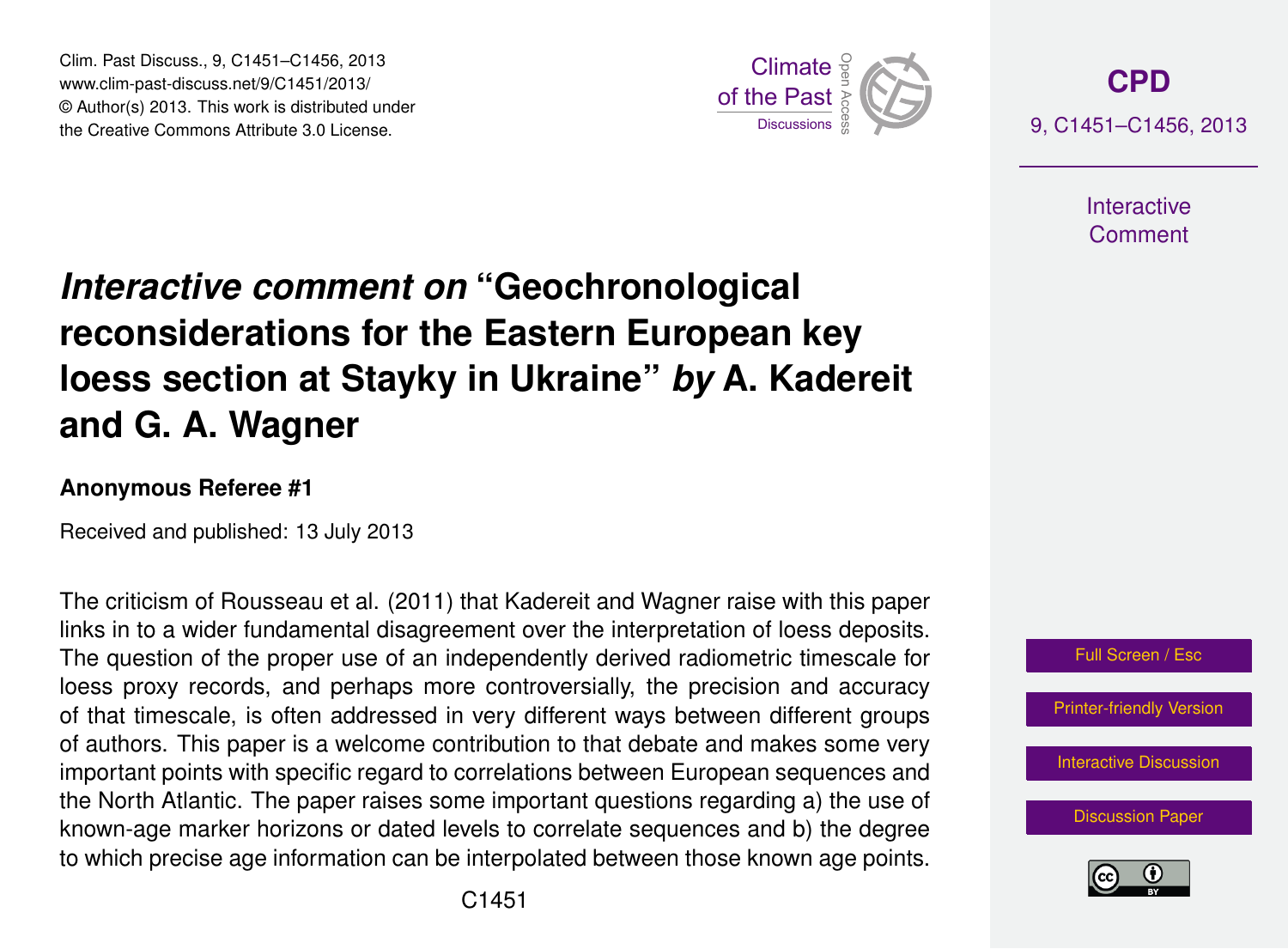Clim. Past Discuss., 9, C1451–C1456, 2013 www.clim-past-discuss.net/9/C1451/2013/  $\circledcirc$  Author(s) 2013. This work is distributed under the Creative Commons Attribute 3.0 License.  $\frac{2}{\pi}$ 



**[CPD](http://www.clim-past-discuss.net)** 9, C1451–C1456, 2013

> **Interactive** Comment

#### *Interactive comment on* "Geochronological hne for th where  $\ddot{ }$ at Stavky  $\epsilon$ **reconsiderations for the Eastern European key** h<sub>od</sub>m: and loess section at Stayky in Ukraine" *by* A. Kadereit )<br>C **and G. A. Wagner**

# Anonymous Referee #1

Hydrology and Received and published: 13 July 2013

 $E = \frac{1}{2}$ . al. (۲۷۱۱<br>مصدر ال  $\overline{\phantom{a}}$ Earth System The criticism of Rousseau et al. (2011) that Kadereit and Wagner raise with this paper  $\overline{h}$ links in to a wider fundamental disagreement over the interpretation of loess deposits. occe proxy received, and perhape more contreversion, the precision and deceived, of that timescale, is often addressed in very different ways between different groups ..<br>n<br>、r بر<br>C<br>C loess proxy records, and perhaps more controversially, the precision and accuracy known-age marker horizons or dated levels to correlate sequences and b) the degree n<br>e<br>e h<br>e<br>16 the North Atlantic. The paper raises some important questions regarding a) the use of The question of the proper use of an independently derived radiometric timescale for of authors. This paper is a welcome contribution to that debate and makes some very important points with specific regard to correlations between European sequences and to which precise age information can be interpolated between those known age points.



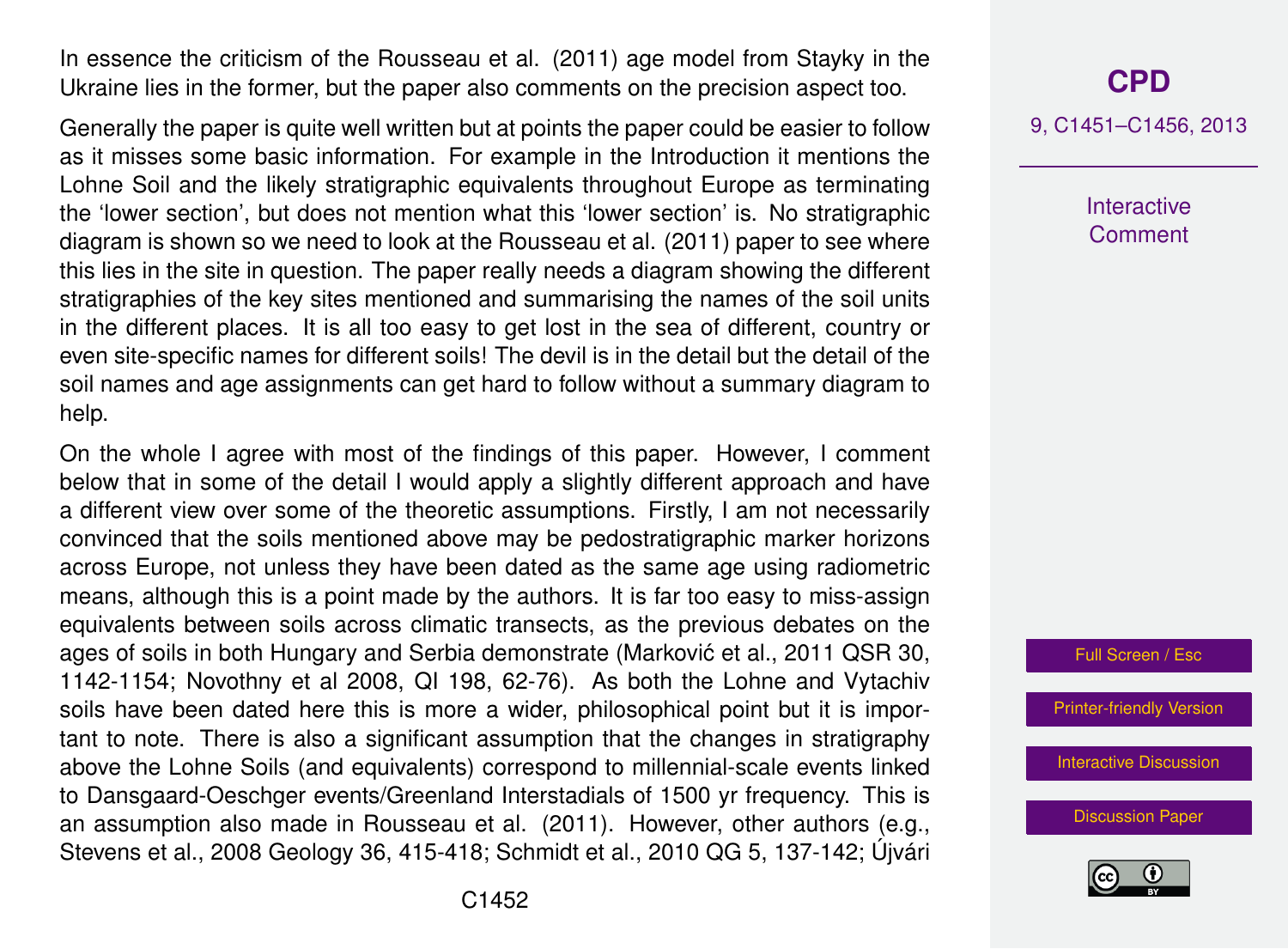In essence the criticism of the Rousseau et al. (2011) age model from Stayky in the Ukraine lies in the former, but the paper also comments on the precision aspect too.

Generally the paper is quite well written but at points the paper could be easier to follow as it misses some basic information. For example in the Introduction it mentions the Lohne Soil and the likely stratigraphic equivalents throughout Europe as terminating the 'lower section', but does not mention what this 'lower section' is. No stratigraphic diagram is shown so we need to look at the Rousseau et al. (2011) paper to see where this lies in the site in question. The paper really needs a diagram showing the different stratigraphies of the key sites mentioned and summarising the names of the soil units in the different places. It is all too easy to get lost in the sea of different, country or even site-specific names for different soils! The devil is in the detail but the detail of the soil names and age assignments can get hard to follow without a summary diagram to help.

On the whole I agree with most of the findings of this paper. However, I comment below that in some of the detail I would apply a slightly different approach and have a different view over some of the theoretic assumptions. Firstly, I am not necessarily convinced that the soils mentioned above may be pedostratigraphic marker horizons across Europe, not unless they have been dated as the same age using radiometric means, although this is a point made by the authors. It is far too easy to miss-assign equivalents between soils across climatic transects, as the previous debates on the ages of soils in both Hungary and Serbia demonstrate (Marković et al., 2011 QSR 30, 1142-1154; Novothny et al 2008, QI 198, 62-76). As both the Lohne and Vytachiv soils have been dated here this is more a wider, philosophical point but it is important to note. There is also a significant assumption that the changes in stratigraphy above the Lohne Soils (and equivalents) correspond to millennial-scale events linked to Dansgaard-Oeschger events/Greenland Interstadials of 1500 yr frequency. This is an assumption also made in Rousseau et al. (2011). However, other authors (e.g., Stevens et al., 2008 Geology 36, 415-418; Schmidt et al., 2010 QG 5, 137-142; Újvári

## **[CPD](http://www.clim-past-discuss.net)**

9, C1451–C1456, 2013

**Interactive Comment** 

Full Screen / Esc

[Printer-friendly Version](http://www.clim-past-discuss.net/9/C1451/2013/cpd-9-C1451-2013-print.pdf)

[Interactive Discussion](http://www.clim-past-discuss.net/9/2629/2013/cpd-9-2629-2013-discussion.html)

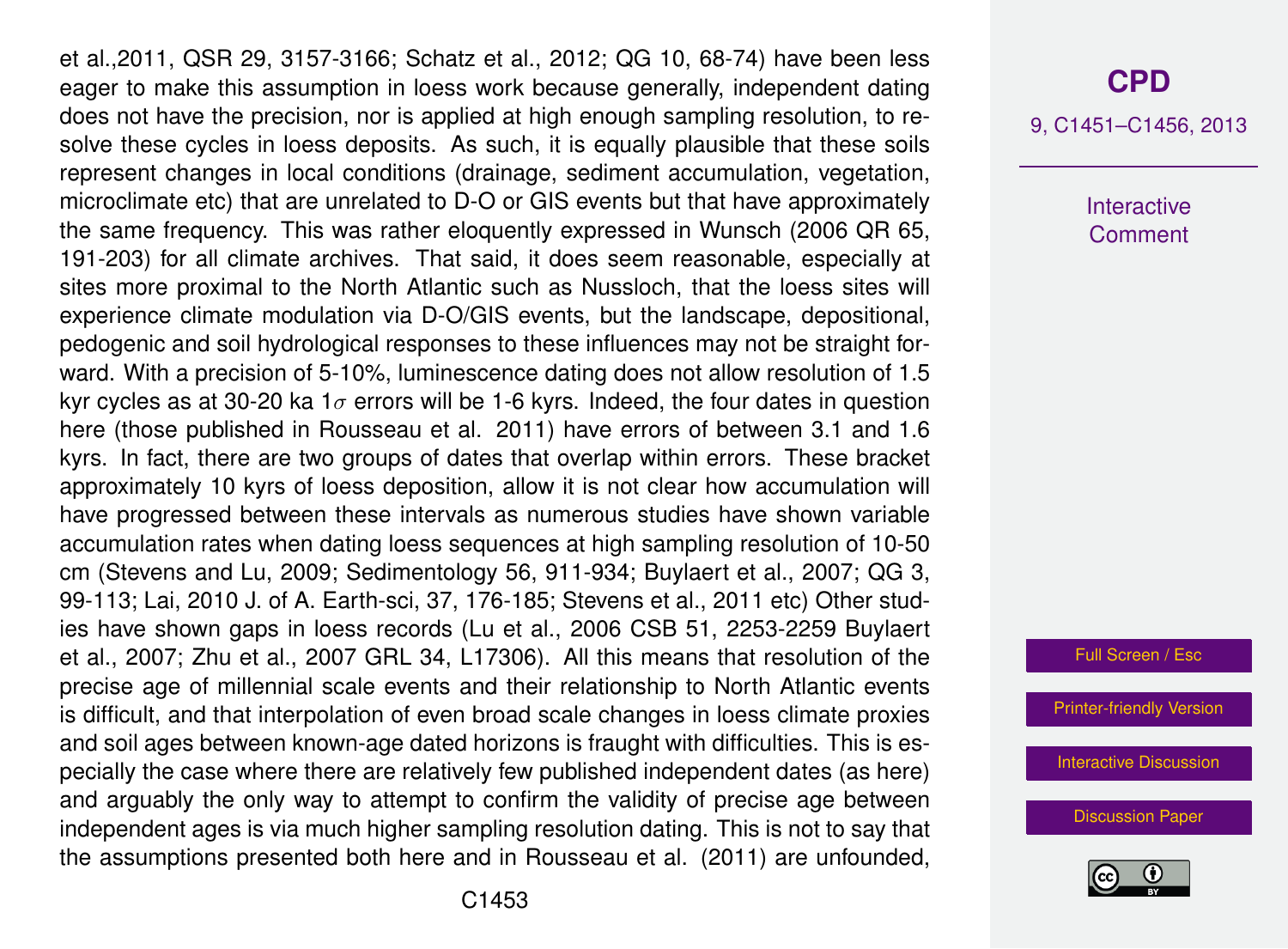et al.,2011, QSR 29, 3157-3166; Schatz et al., 2012; QG 10, 68-74) have been less eager to make this assumption in loess work because generally, independent dating does not have the precision, nor is applied at high enough sampling resolution, to resolve these cycles in loess deposits. As such, it is equally plausible that these soils represent changes in local conditions (drainage, sediment accumulation, vegetation, microclimate etc) that are unrelated to D-O or GIS events but that have approximately the same frequency. This was rather eloquently expressed in Wunsch (2006 QR 65, 191-203) for all climate archives. That said, it does seem reasonable, especially at sites more proximal to the North Atlantic such as Nussloch, that the loess sites will experience climate modulation via D-O/GIS events, but the landscape, depositional, pedogenic and soil hydrological responses to these influences may not be straight forward. With a precision of 5-10%, luminescence dating does not allow resolution of 1.5 kyr cycles as at 30-20 ka  $1\sigma$  errors will be 1-6 kyrs. Indeed, the four dates in question here (those published in Rousseau et al. 2011) have errors of between 3.1 and 1.6 kyrs. In fact, there are two groups of dates that overlap within errors. These bracket approximately 10 kyrs of loess deposition, allow it is not clear how accumulation will have progressed between these intervals as numerous studies have shown variable accumulation rates when dating loess sequences at high sampling resolution of 10-50 cm (Stevens and Lu, 2009; Sedimentology 56, 911-934; Buylaert et al., 2007; QG 3, 99-113; Lai, 2010 J. of A. Earth-sci, 37, 176-185; Stevens et al., 2011 etc) Other studies have shown gaps in loess records (Lu et al., 2006 CSB 51, 2253-2259 Buylaert et al., 2007; Zhu et al., 2007 GRL 34, L17306). All this means that resolution of the precise age of millennial scale events and their relationship to North Atlantic events is difficult, and that interpolation of even broad scale changes in loess climate proxies and soil ages between known-age dated horizons is fraught with difficulties. This is especially the case where there are relatively few published independent dates (as here) and arguably the only way to attempt to confirm the validity of precise age between independent ages is via much higher sampling resolution dating. This is not to say that the assumptions presented both here and in Rousseau et al. (2011) are unfounded,

#### **[CPD](http://www.clim-past-discuss.net)**

9, C1451–C1456, 2013

Interactive **Comment** 

Full Screen / Esc

[Printer-friendly Version](http://www.clim-past-discuss.net/9/C1451/2013/cpd-9-C1451-2013-print.pdf)

[Interactive Discussion](http://www.clim-past-discuss.net/9/2629/2013/cpd-9-2629-2013-discussion.html)

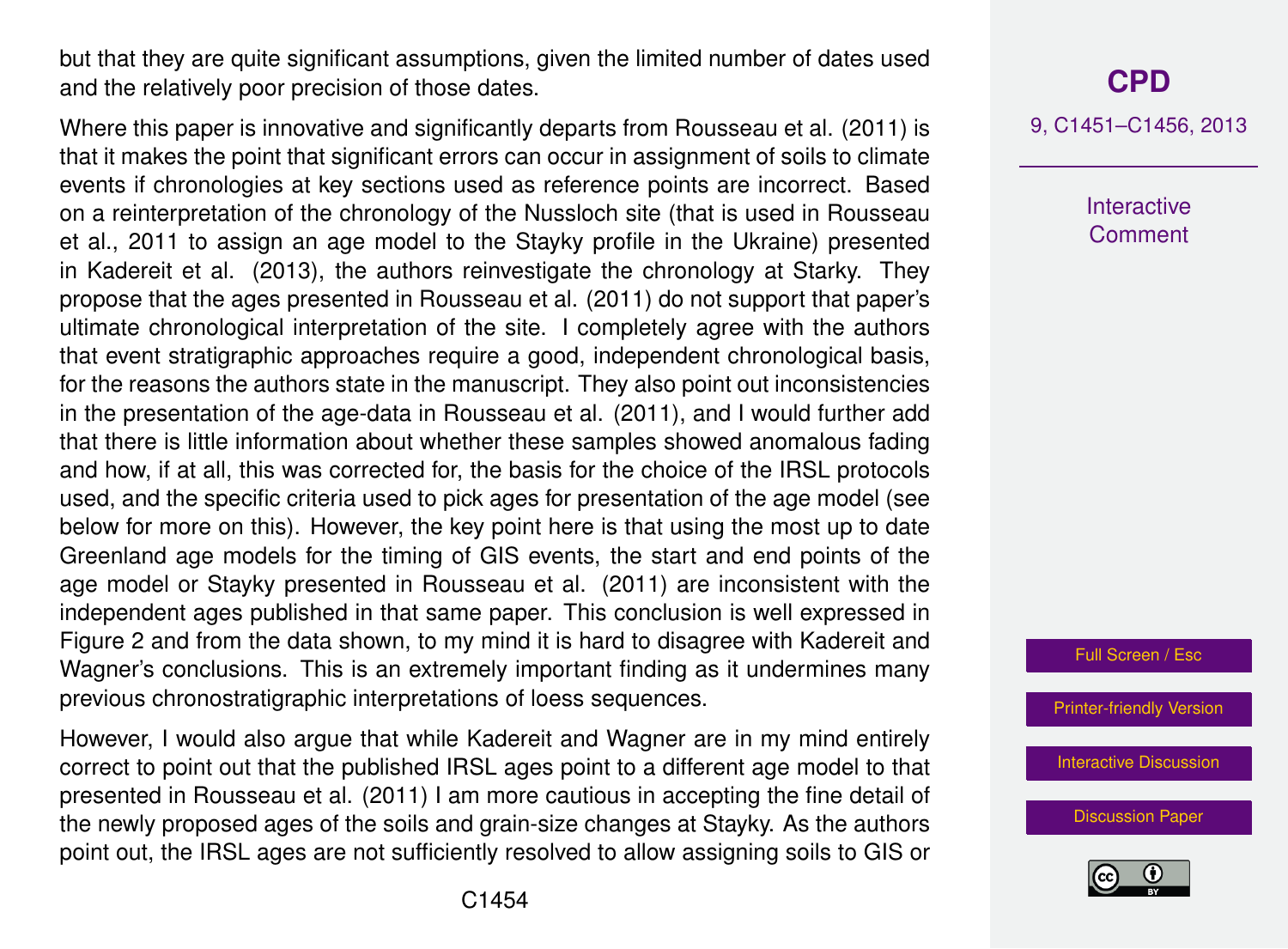but that they are quite significant assumptions, given the limited number of dates used and the relatively poor precision of those dates.

Where this paper is innovative and significantly departs from Rousseau et al. (2011) is that it makes the point that significant errors can occur in assignment of soils to climate events if chronologies at key sections used as reference points are incorrect. Based on a reinterpretation of the chronology of the Nussloch site (that is used in Rousseau et al., 2011 to assign an age model to the Stayky profile in the Ukraine) presented in Kadereit et al. (2013), the authors reinvestigate the chronology at Starky. They propose that the ages presented in Rousseau et al. (2011) do not support that paper's ultimate chronological interpretation of the site. I completely agree with the authors that event stratigraphic approaches require a good, independent chronological basis, for the reasons the authors state in the manuscript. They also point out inconsistencies in the presentation of the age-data in Rousseau et al. (2011), and I would further add that there is little information about whether these samples showed anomalous fading and how, if at all, this was corrected for, the basis for the choice of the IRSL protocols used, and the specific criteria used to pick ages for presentation of the age model (see below for more on this). However, the key point here is that using the most up to date Greenland age models for the timing of GIS events, the start and end points of the age model or Stayky presented in Rousseau et al. (2011) are inconsistent with the independent ages published in that same paper. This conclusion is well expressed in Figure 2 and from the data shown, to my mind it is hard to disagree with Kadereit and Wagner's conclusions. This is an extremely important finding as it undermines many previous chronostratigraphic interpretations of loess sequences.

However, I would also argue that while Kadereit and Wagner are in my mind entirely correct to point out that the published IRSL ages point to a different age model to that presented in Rousseau et al. (2011) I am more cautious in accepting the fine detail of the newly proposed ages of the soils and grain-size changes at Stayky. As the authors point out, the IRSL ages are not sufficiently resolved to allow assigning soils to GIS or

9, C1451–C1456, 2013

**Interactive Comment** 

Full Screen / Esc

[Printer-friendly Version](http://www.clim-past-discuss.net/9/C1451/2013/cpd-9-C1451-2013-print.pdf)

[Interactive Discussion](http://www.clim-past-discuss.net/9/2629/2013/cpd-9-2629-2013-discussion.html)

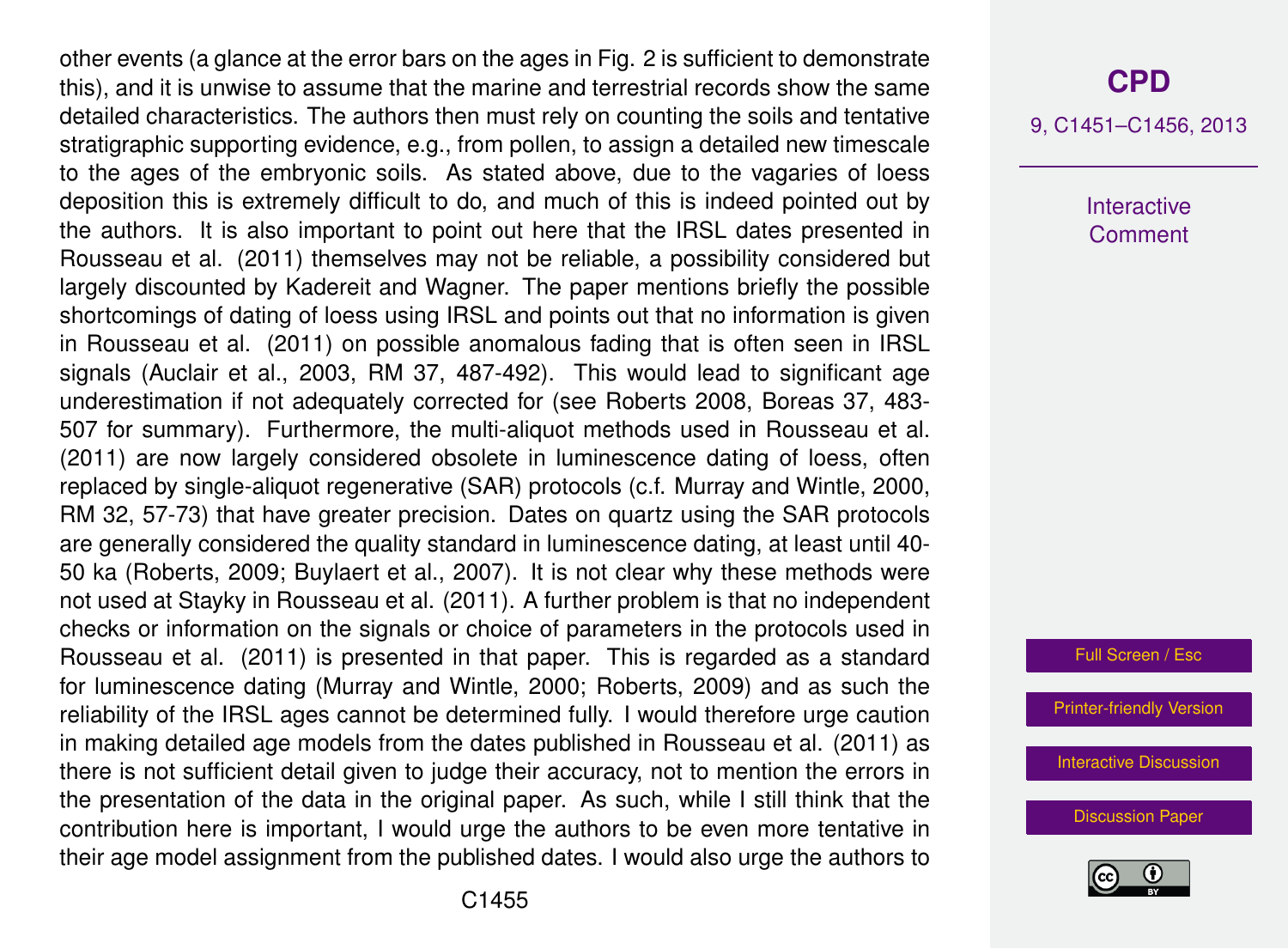other events (a glance at the error bars on the ages in Fig. 2 is sufficient to demonstrate this), and it is unwise to assume that the marine and terrestrial records show the same detailed characteristics. The authors then must rely on counting the soils and tentative stratigraphic supporting evidence, e.g., from pollen, to assign a detailed new timescale to the ages of the embryonic soils. As stated above, due to the vagaries of loess deposition this is extremely difficult to do, and much of this is indeed pointed out by the authors. It is also important to point out here that the IRSL dates presented in Rousseau et al. (2011) themselves may not be reliable, a possibility considered but largely discounted by Kadereit and Wagner. The paper mentions briefly the possible shortcomings of dating of loess using IRSL and points out that no information is given in Rousseau et al. (2011) on possible anomalous fading that is often seen in IRSL signals (Auclair et al., 2003, RM 37, 487-492). This would lead to significant age underestimation if not adequately corrected for (see Roberts 2008, Boreas 37, 483- 507 for summary). Furthermore, the multi-aliquot methods used in Rousseau et al. (2011) are now largely considered obsolete in luminescence dating of loess, often replaced by single-aliquot regenerative (SAR) protocols (c.f. Murray and Wintle, 2000, RM 32, 57-73) that have greater precision. Dates on quartz using the SAR protocols are generally considered the quality standard in luminescence dating, at least until 40- 50 ka (Roberts, 2009; Buylaert et al., 2007). It is not clear why these methods were not used at Stayky in Rousseau et al. (2011). A further problem is that no independent checks or information on the signals or choice of parameters in the protocols used in Rousseau et al. (2011) is presented in that paper. This is regarded as a standard for luminescence dating (Murray and Wintle, 2000; Roberts, 2009) and as such the reliability of the IRSL ages cannot be determined fully. I would therefore urge caution in making detailed age models from the dates published in Rousseau et al. (2011) as there is not sufficient detail given to judge their accuracy, not to mention the errors in the presentation of the data in the original paper. As such, while I still think that the contribution here is important, I would urge the authors to be even more tentative in their age model assignment from the published dates. I would also urge the authors to

9, C1451–C1456, 2013

Interactive **Comment** 

Full Screen / Esc

[Printer-friendly Version](http://www.clim-past-discuss.net/9/C1451/2013/cpd-9-C1451-2013-print.pdf)

[Interactive Discussion](http://www.clim-past-discuss.net/9/2629/2013/cpd-9-2629-2013-discussion.html)